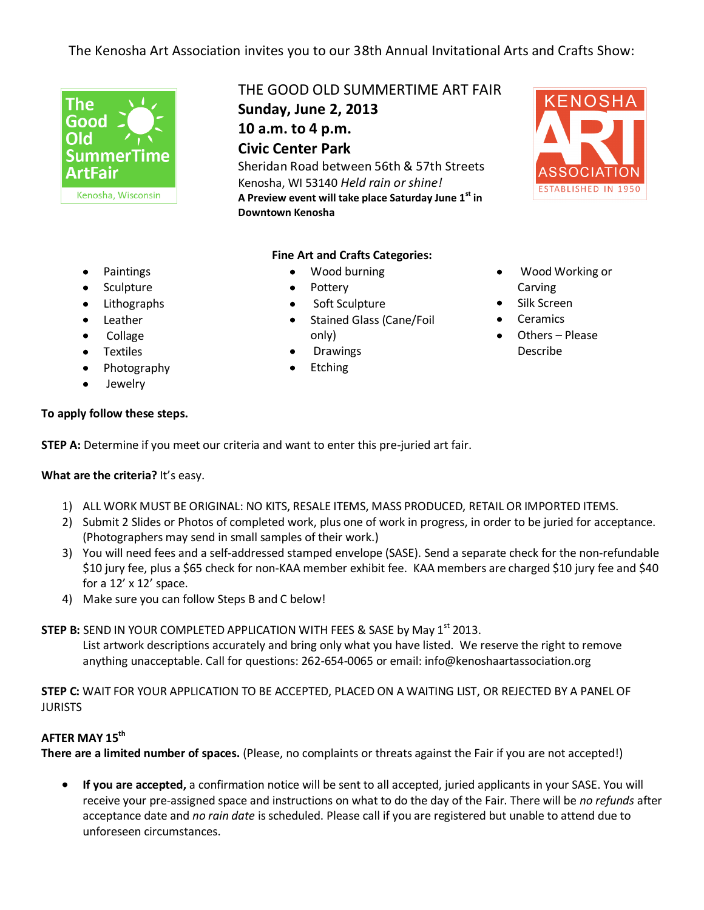# The Kenosha Art Association invites you to our 38th Annual Invitational Arts and Crafts Show:



THE GOOD OLD SUMMERTIME ART FAIR **Sunday, June 2, 2013**

**10 a.m. to 4 p.m. Civic Center Park**

Sheridan Road between 56th & 57th Streets Kenosha, WI 53140 *Held rain or shine!* **A Preview event will take place Saturday June 1st in Downtown Kenosha**

#### **Fine Art and Crafts Categories:**

- $\bullet$ Wood burning
- $\bullet$ Pottery
- Soft Sculpture  $\bullet$
- Stained Glass (Cane/Foil  $\bullet$ only)
- Drawings
- Etching

## Wood Working or Carving

- Silk Screen
- **Ceramics**
- Others Please Describe
- Paintings  $\bullet$
- $\bullet$ Sculpture
- Lithographs
- Leather  $\bullet$
- $\bullet$ Collage
- Textiles
- Photography  $\bullet$
- Jewelry

### **To apply follow these steps.**

**STEP A:** Determine if you meet our criteria and want to enter this pre-juried art fair.

### **What are the criteria?** It's easy.

- 1) ALL WORK MUST BE ORIGINAL: NO KITS, RESALE ITEMS, MASS PRODUCED, RETAIL OR IMPORTED ITEMS.
- 2) Submit 2 Slides or Photos of completed work, plus one of work in progress, in order to be juried for acceptance. (Photographers may send in small samples of their work.)
- 3) You will need fees and a self-addressed stamped envelope (SASE). Send a separate check for the non-refundable \$10 jury fee, plus a \$65 check for non-KAA member exhibit fee. KAA members are charged \$10 jury fee and \$40 for a 12' x 12' space.
- 4) Make sure you can follow Steps B and C below!

**STEP B:** SEND IN YOUR COMPLETED APPLICATION WITH FEES & SASE by May 1<sup>st</sup> 2013.

List artwork descriptions accurately and bring only what you have listed. We reserve the right to remove anything unacceptable. Call for questions: 262-654-0065 or email: info@kenoshaartassociation.org

**STEP C:** WAIT FOR YOUR APPLICATION TO BE ACCEPTED, PLACED ON A WAITING LIST, OR REJECTED BY A PANEL OF JURISTS

### **AFTER MAY 15 th**

**There are a limited number of spaces.** (Please, no complaints or threats against the Fair if you are not accepted!)

**If you are accepted,** a confirmation notice will be sent to all accepted, juried applicants in your SASE. You will  $\bullet$ receive your pre-assigned space and instructions on what to do the day of the Fair. There will be *no refunds* after acceptance date and *no rain date* is scheduled. Please call if you are registered but unable to attend due to unforeseen circumstances.